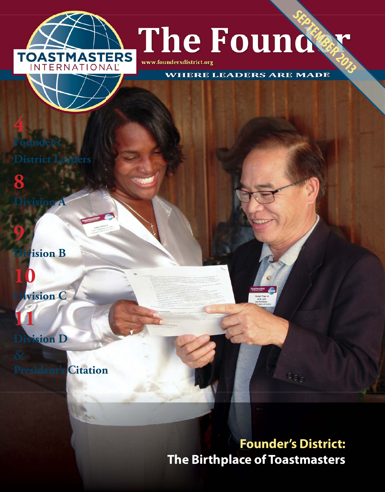

WW.foundersdistrict.org<br>WHERE LEADERS ARE MADE

www.foundersdistrict.org

**Founder District** 

**Division A**

**4**

**8**

**9**

**hision B** 

**10 Division C**

**11 Division D**

**President's Citation**

# **Founder's District: The Birthplace of Toastmasters**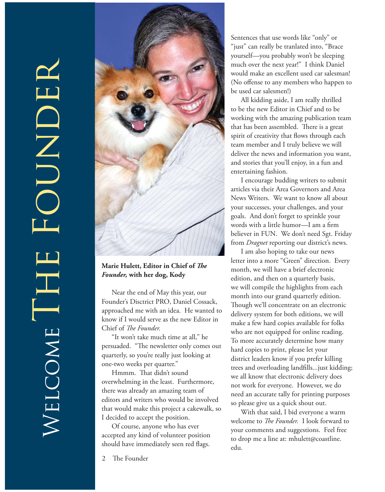

Marie Hulett, Editor in Chief of *The Founder,* **with her dog, Kody**

Near the end of May this year, our Founder's Disctrict PRO, Daniel Cossack, approached me with an idea. He wanted to know if I would serve as the new Editor in Chief of *The Founder*.

"It won't take much time at all," he persuaded. "The newsletter only comes out quarterly, so you're really just looking at one-two weeks per quarter."

Hmmm. That didn't sound overwhelming in the least. Furthermore, there was already an amazing team of editors and writers who would be involved that would make this project a cakewalk, so I decided to accept the position.

Of course, anyone who has ever accepted any kind of volunteer position should have immediately seen red flags.

Sentences that use words like "only" or "just" can really be tranlated into, "Brace yourself—you probably won't be sleeping much over the next year!" I think Daniel would make an excellent used car salesman! (No offense to any members who happen to be used car salesmen!)

All kidding aside, I am really thrilled to be the new Editor in Chief and to be working with the amazing publication team that has been assembled. There is a great spirit of creativity that flows through each team member and I truly believe we will deliver the news and information you want, and stories that you'll enjoy, in a fun and entertaining fashion.

I encourage budding writers to submit articles via their Area Governors and Area News Writers. We want to know all about your successes, your challenges, and your goals. And don't forget to sprinkle your words with a little humor-I am a firm believer in FUN. We don't need Sgt. Friday from *Dragnet* reporting our district's news.

I am also hoping to take our news letter into a more "Green" direction. Every month, we will have a brief electronic edition, and then on a quarterly basis, we will compile the highlights from each month into our grand quarterly edition. Though we'll concentrate on an electronic delivery system for both editions, we will make a few hard copies available for folks who are not equipped for online reading. To more accurately determine how many hard copies to print, please let your district leaders know if you prefer killing trees and overloading landfills... just kidding; we all know that electronic delivery does not work for everyone. However, we do need an accurate tally for printing purposes so please give us a quick shout out.

With that said, I bid everyone a warm welcome to *The Founder*. I look forward to your comments and suggestions. Feel free to drop me a line at: mhulett@coastline. edu.

2 The Founder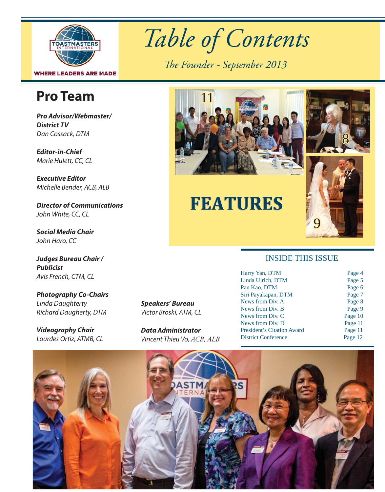

# **Pro Team**

*Pro Advisor/Webmaster/ District TV* Dan Cossack, DTM

*Editor-in-Chief* Marie Hulett, CC, CL

*Executive Editor* Michelle Bender, ACB, ALB

*Director of Communications* John White, CC, CL

*Social Media Chair* John Haro, CC

*Judges Bureau Chair / Publicist* Avis French, CTM, CL

*Photography Co-Chairs* Linda Daughterty Richard Daugherty, DTM

*Videography Chair* Lourdes Ortiz, ATMB, CL *Speakers' Bureau* Victor Broski, ATM, CL

*Data Administrator* Vincent Thieu Vo, *ACB, ALB* 

*Table of Contents*

The Founder - September 2013



# **FEATURES**

# 9

#### INSIDE THIS ISSUE

| Harry Yan, DTM                    | Page 4  |
|-----------------------------------|---------|
| Linda Ulrich, DTM                 | Page 5  |
| Pan Kao, DTM                      | Page 6  |
| Siri Payakapan, DTM               | Page 7  |
| News from Div. A                  | Page 8  |
| News from Div. B                  | Page 9  |
| News from Div. C                  | Page 10 |
| News from Div. D                  | Page 11 |
| <b>President's Citation Award</b> | Page 11 |
| <b>District Conference</b>        | Page 12 |
|                                   |         |

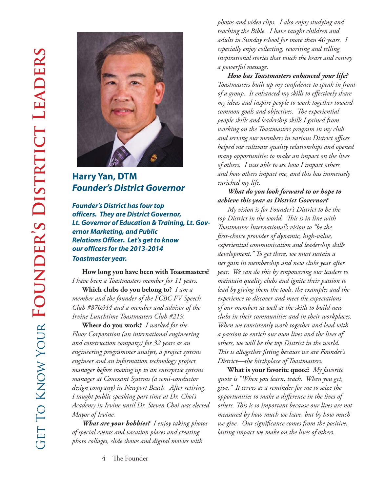

#### **Harry Yan, DTM** *Founder's District Governor*

*Founder's District has four top officers. They are District Governor, Lt. Governor of Education & Training, Lt. Governor Marketing, and Public Relations Officer. Let's get to know our officers for the 2013-2014 Toastmaster year.*

**How long you have been with Toastmasters?**  *I have been a Toastmasters member for 11 years.*

**Which clubs do you belong to?** *I am a member and the founder of the FCBC FV Speech Club #870344 and a member and advisor of the Irvine Lunchtime Toastmasters Club #219.* 

**Where do you work?** *I worked for the Fluor Corporation (an international engineering and construction company) for 32 years as an engineering programmer analyst, a project systems engineer and an information technology project manager before moving up to an enterprise systems manager at Conexant Systems (a semi-conductor design company) in Newport Beach. After retiring, I taught public speaking part time at Dr. Choi's Academy in Irvine until Dr. Steven Choi was elected Mayor of Irvine.*

*What are your hobbies? I enjoy taking photos of special events and vacation places and creating photo collages, slide shows and digital movies with* 

*photos and video clips. I also enjoy studying and teaching the Bible. I have taught children and adults in Sunday school for more than 40 years. I especially enjoy collecting, rewriting and telling inspirational stories that touch the heart and convey a powerful message.*

*How has Toastmasters enhanced your life? Toastmasters built up my confidence to speak in front of a group. It enhanced my skills to eff ectively share my ideas and inspire people to work together toward common goals and objectives. The experiential people skills and leadership skills I gained from working on the Toastmasters program in my club and serving our members in various District offi ces helped me cultivate quality relationships and opened many opportunities to make an impact on the lives of others. I was able to see how I impact others and how others impact me, and this has immensely enriched my life.*

#### *What do you look forward to or hope to achieve this year as District Governor?*

*My vision is for Founder's District to be the*  top District in the world. This is in line with *Toastmaster International's vision to "be the fi rst-choice provider of dynamic, high-value, experiential communication and leadership skills development." To get there, we must sustain a net gain in membership and new clubs year after year. We can do this by empowering our leaders to maintain quality clubs and ignite their passion to lead by giving them the tools, the examples and the experience to discover and meet the expectations of our members as well as the skills to build new clubs in their communities and in their workplaces. When we consistently work together and lead with a passion to enrich our own lives and the lives of others, we will be the top District in the world. This is altogether fitting because we are Founder's District—the birthplace of Toastmasters.*

**What is your favorite quote?** *My favorite quote is "When you learn, teach. When you get, give." It serves as a reminder for me to seize the opportunities to make a difference in the lives of others. Th is is so important because our lives are not measured by how much we have, but by how much we give. Our signifi cance comes from the positive, lasting impact we make on the lives of others.*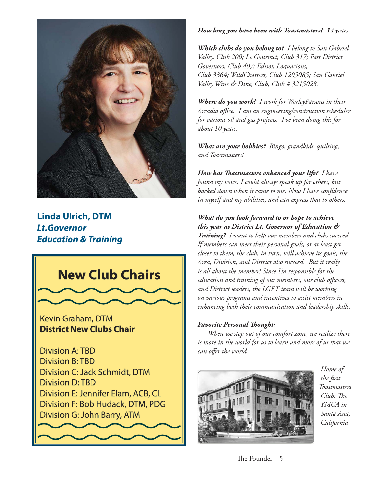

#### **Linda Ulrich, DTM** *Lt.Governor Education & Training*



#### *How long you have been with Toastmasters? 14 years*

*Which clubs do you belong to? I belong to San Gabriel Valley, Club 200; Le Gourmet, Club 317; Past District Governors, Club 407; Edison Loquacious, Club 3364; WildChatters, Club 1205085; San Gabriel Valley Wine & Dine, Club, Club # 3215028.*

*Where do you work? I work for WorleyParsons in their*  Arcadia office. I am an engineering/construction scheduler *for various oil and gas projects. I've been doing this for about 10 years.*

*What are your hobbies? Bingo, grandkids, quilting, and Toastmasters!*

*How has Toastmasters enhanced your life? I have found my voice. I could always speak up for others, but*  backed down when it came to me. Now I have confidence *in myself and my abilities, and can express that to others.*

#### *What do you look forward to or hope to achieve this year as District Lt. Governor of Education &*

*Training? I want to help our members and clubs succeed. If members can meet their personal goals, or at least get closer to them, the club, in turn, will achieve its goals; the Area, Division, and District also succeed. But it really is all about the member! Since I'm responsible for the education and training of our members, our club officers, and District leaders, the LGET team will be working on various programs and incentives to assist members in enhancing both their communication and leadership skills.*

#### *Favorite Personal Thought:*

*When we step out of our comfort zone, we realize there is more in the world for us to learn and more of us that we can offer the world.* 



 *Home of the fi rst Toastmasters Club: The YMCA in Santa Ana, California*

The Founder 5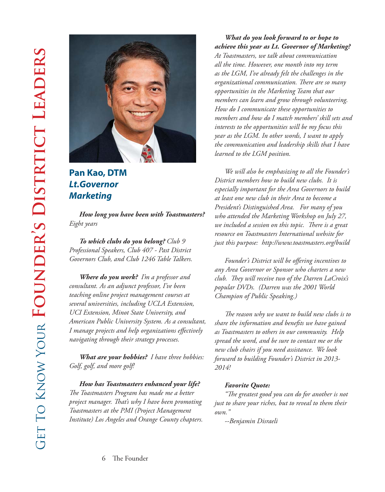

### **Pan Kao, DTM** *Lt.Governor Marketing*

*How long you have been with Toastmasters? Eight years*

*To which clubs do you belong? Club 9 Professional Speakers, Club 407 - Past District Governors Club, and Club 1246 Table Talkers.*

*Where do you work? I'm a professor and consultant. As an adjunct professor, I've been teaching online project management courses at several universities, including UCLA Extension, UCI Extension, Minot State University, and American Public University System. As a consultant, I* manage projects and help organizations effectively *navigating through their strategy processes.*

*What are your hobbies? I have three hobbies: Golf, golf, and more golf!*

*How has Toastmasters enhanced your life? The Toastmasters Program has made me a better project manager. Th at's why I have been promoting Toastmasters at the PMI (Project Management Institute) Los Angeles and Orange County chapters.*

#### *What do you look forward to or hope to achieve this year as Lt. Governor of Marketing?*

*At Toastmasters, we talk about communication all the time. However, one month into my term as the LGM, I've already felt the challenges in the organizational communication. There are so many opportunities in the Marketing Team that our members can learn and grow through volunteering. How do I communicate these opportunities to members and how do I match members' skill sets and interests to the opportunities will be my focus this year as the LGM. In other words, I want to apply the communication and leadership skills that I have learned to the LGM position.*

*We will also be emphasizing to all the Founder's District members how to build new clubs. It is especially important for the Area Governors to build at least one new club in their Area to become a President's Distinguished Area. For many of you who attended the Marketing Workshop on July 27,*  we included a session on this topic. There is a great *resource on Toastmasters International website for just this purpose: http://www.toastmasters.org/build*

*Founder's District will be offering incentives to any Area Governor or Sponsor who charters a new club. Th ey will receive two of the Darren LaCroix's popular DVDs. (Darren was the 2001 World Champion of Public Speaking.)*

*The reason why we want to build new clubs is to share the information and benefits we have gained as Toastmasters to others in our community. Help spread the word, and be sure to contact me or the new club chairs if you need assistance. We look forward to building Founder's District in 2013- 2014!*

#### *Favorite Quote:*

"The greatest good you can do for another is not *just to share your riches, but to reveal to them their own."*

*--Benjamin Disraeli*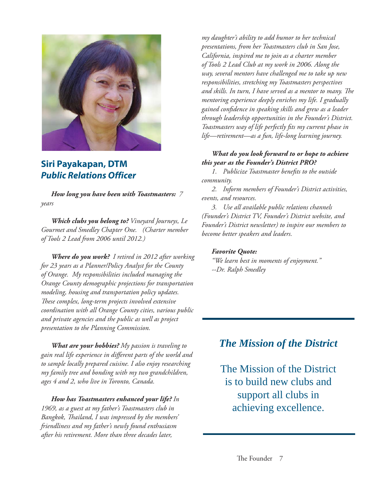

#### **Siri Payakapan, DTM** *Public Relations Officer*

*How long you have been with Toastmasters: 7 years* 

*Which clubs you belong to? Vineyard Journeys, Le Gourmet and Smedley Chapter One. (Charter member of Tools 2 Lead from 2006 until 2012.)*

*Where do you work? I retired in 2012 after working for 23 years as a Planner/Policy Analyst for the County of Orange. My responsibilities included managing the Orange County demographic projections for transportation modeling, housing and transportation policy updates. Th ese complex, long-term projects involved extensive coordination with all Orange County cities, various public and private agencies and the public as well as project presentation to the Planning Commission.*

*What are your hobbies? My passion is traveling to gain real life experience in diff erent parts of the world and to sample locally prepared cuisine. I also enjoy researching my family tree and bonding with my two grandchildren, ages 4 and 2, who live in Toronto, Canada.*

*How has Toastmasters enhanced your life? In 1969, as a guest at my father's Toastmasters club in Bangkok, Th ailand, I was impressed by the members' friendliness and my father's newly found enthusiasm after his retirement. More than three decades later,* 

*my daughter's ability to add humor to her technical presentations, from her Toastmasters club in San Jose, California, inspired me to join as a charter member of Tools 2 Lead Club at my work in 2006. Along the way, several mentors have challenged me to take up new responsibilities, stretching my Toastmasters perspectives*  and skills. In turn, I have served as a mentor to many. The *mentoring experience deeply enriches my life. I gradually gained confi dence in speaking skills and grew as a leader through leadership opportunities in the Founder's District. Toastmasters way of life perfectly fits my current phase in life—retirement—as a fun, life-long learning journey.* 

#### *What do you look forward to or hope to achieve this year as the Founder's District PRO?*

*1. Publicize Toastmaster benefits to the outside community.*

*2. Inform members of Founder's District activities, events, and resources.*

*3. Use all available public relations channels (Founder's District TV, Founder's District website, and Founder's District newsletter) to inspire our members to become better speakers and leaders.*

#### *Favorite Quote:*

*"We learn best in moments of enjoyment." --Dr. Ralph Smedley*

## *The Mission of the District*

The Mission of the District is to build new clubs and support all clubs in achieving excellence.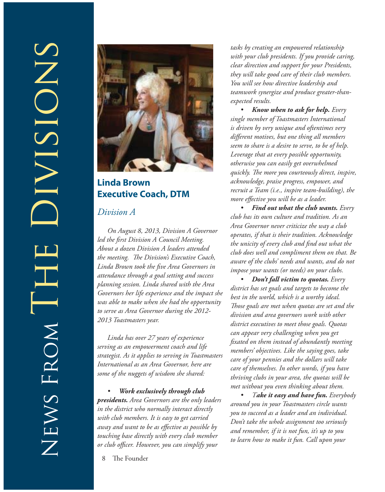

#### **Linda Brown Executive Coach, DTM**

#### *Division A*

*On August 8, 2013, Division A Governor*  led the first Division A Council Meeting. *About a dozen Division A leaders attended*  the meeting. The Division's Executive Coach, *Linda Brown took the fi ve Area Governors in attendance through a goal setting and success planning session. Linda shared with the Area Governors her life experience and the impact she was able to make when she had the opportunity to serve as Area Governor during the 2012- 2013 Toastmasters year.*

*Linda has over 27 years of experience serving as an empowerment coach and life strategist. As it applies to serving in Toastmasters International as an Area Governor, here are some of the nuggets of wisdom she shared:*

*• Work exclusively through club presidents. Area Governors are the only leaders in the district who normally interact directly with club members. It is easy to get carried away and want to be as effective as possible by touching base directly with every club member or club offi cer. However, you can simplify your* 

8 The Founder

*tasks by creating an empowered relationship with your club presidents. If you provide caring, clear direction and support for your Presidents, they will take good care of their club members. You will see how directive leadership and teamwork synergize and produce greater-thanexpected results.*

*• Know when to ask for help. Every single member of Toastmasters International is driven by very unique and oftentimes very diff erent motives, but one thing all members seem to share is a desire to serve, to be of help. Leverage that at every possible opportunity, otherwise you can easily get overwhelmed quickly. The more you courteously direct, inspire, acknowledge, praise progress, empower, and recruit a Team (i.e., inspire team-building), the more effective you will be as a leader.* 

*• Find out what the club wants. Every club has its own culture and tradition. As an Area Governor never criticize the way a club operates, if that is their tradition. Acknowledge the unicity of every club and find out what the club does well and compliment them on that. Be aware of the clubs' needs and wants, and do not impose your wants (or needs) on your clubs.*

*• Don't fall victim to quotas. Every district has set goals and targets to become the best in the world, which is a worthy ideal. Th ose goals are met when quotas are set and the division and area governors work with other district executives to meet those goals. Quotas can appear very challenging when you get fi xated on them instead of abundantly meeting members' objectives. Like the saying goes, take care of your pennies and the dollars will take care of themselves. In other words, if you have thriving clubs in your area, the quotas will be met without you even thinking about them.*

*• Take it easy and have fun. Everybody around you in your Toastmasters circle wants you to succeed as a leader and an individual. Don't take the whole assignment too seriously and remember, if it is not fun, it's up to you to learn how to make it fun. Call upon your*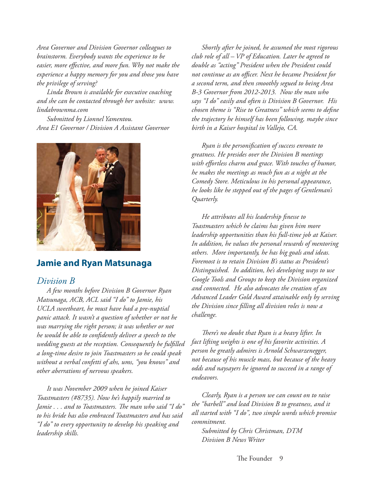*Area Governor and Division Governor colleagues to brainstorm. Everybody wants the experience to be*  easier, more effective, and more fun. Why not make the *experience a happy memory for you and those you have the privilege of serving?*

*Linda Brown is available for executive coaching and she can be contacted through her website: www. lindabrownma.com*

*Submitted by Lionnel Yamentou. Area E1 Governor / Division A Assistant Governor*



#### **Jamie and Ryan Matsunaga**

#### *Division B*

*A few months before Division B Governor Ryan Matsunaga, ACB, ACL said "I do" to Jamie, his UCLA sweetheart, he must have had a pre-nuptial panic attack. It wasn't a question of whether or not he was marrying the right person; it was whether or not he would be able to confidently deliver a speech to the wedding guests at the reception. Consequently he fulfi lled a long-time desire to join Toastmasters so he could speak without a verbal confetti of ahs, ums, "you knows" and other aberrations of nervous speakers.* 

*It was November 2009 when he joined Kaiser Toastmasters (#8735). Now he's happily married to*  Jamie . . . and to Toastmasters. The man who said "I do" *to his bride has also embraced Toastmasters and has said "I do" to every opportunity to develop his speaking and leadership skills.*

*Shortly after he joined, he assumed the most rigorous club role of all – VP of Education. Later he agreed to double as "acting" President when the President could not continue as an officer. Next he became President for a second term, and then smoothly segued to being Area B-3 Governor from 2012-2013. Now the man who says "I do" easily and often is Division B Governor. His chosen theme is "Rise to Greatness" which seems to define the trajectory he himself has been following, maybe since birth in a Kaiser hospital in Vallejo, CA.* 

*Ryan is the personifi cation of success enroute to greatness. He presides over the Division B meetings*  with effortless charm and grace. With touches of humor, *he makes the meetings as much fun as a night at the Comedy Store. Meticulous in his personal appearance, he looks like he stepped out of the pages of Gentleman's Quarterly.* 

*He attributes all his leadership finesse to Toastmasters which he claims has given him more leadership opportunities than his full-time job at Kaiser. In addition, he values the personal rewards of mentoring others. More importantly, he has big goals and ideas. Foremost is to retain Division B's status as President's Distinguished. In addition, he's developing ways to use Google Tools and Groups to keep the Division organized and connected. He also advocates the creation of an Advanced Leader Gold Award attainable only by serving the Division since fi lling all division roles is now a challenge.* 

*Th ere's no doubt that Ryan is a heavy lifter. In fact lifting weights is one of his favorite activities. A person he greatly admires is Arnold Schwarzenegger, not because of his muscle mass, but because of the heavy odds and naysayers he ignored to succeed in a range of endeavors.* 

*Clearly, Ryan is a person we can count on to raise the "barbell" and lead Division B to greatness, and it all started with "I do", two simple words which promise commitment.* 

*Submitted by Chris Christman, DTM Division B News Writer*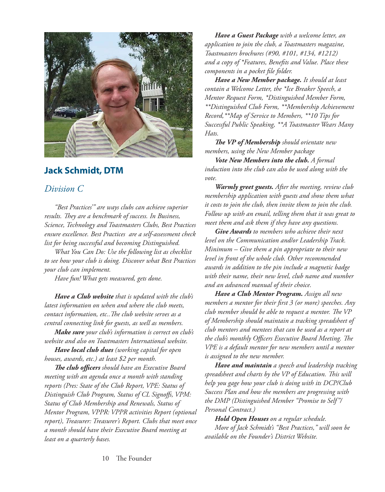

#### **Jack Schmidt, DTM**

#### *Division C*

*"Best Practices'" are ways clubs can achieve superior*  results. They are a benchmark of success. In Business, *Science, Technology and Toastmasters Clubs, Best Practices ensure excellence. Best Practices are a self-assessment check list for being successful and becoming Distinguished.* 

*What You Can Do: Use the following list as checklist to see how your club is doing. Discover what Best Practices your club can implement.* 

*Have fun! What gets measured, gets done.*

*Have a Club website that is updated with the club's latest information on when and where the club meets, contact information, etc..The club website serves as a central connecting link for guests, as well as members.*

*Make sure your club's information is correct on club's website and also on Toastmasters International website.*

*Have local club dues (working capital for open houses, awards, etc.) at least \$2 per month.*

**The club officers** should have an Executive Board *meeting with an agenda once a month with standing reports (Pres: State of the Club Report, VPE: Status of*  Distinguish Club Program, Status of CL Signoffs, VPM: *Status of Club Membership and Renewals, Status of Mentor Program, VPPR: VPPR activities Report (optional report), Treasurer: Treasurer's Report. Clubs that meet once a month should have their Executive Board meeting at least on a quarterly bases.*

*Have a Guest Package with a welcome letter, an application to join the club, a Toastmasters magazine, Toastmasters brochures (#90, #101, #134, #1212) and a copy of \*Features, Benefi ts and Value. Place these components in a pocket file folder.* 

*Have a New Member package. It should at least contain a Welcome Letter, the \*Ice Breaker Speech, a Mentor Request Form, \*Distinguished Member Form, \*\*Distinguished Club Form, \*\*Membership Achievement Record,\*\*Map of Service to Members, \*\*10 Tips for Successful Public Speaking, \*\*A Toastmaster Wears Many Hats.*

*The VP* of Membership should orientate new *members, using the New Member package*

*Vote New Members into the club. A formal induction into the club can also be used along with the vote.*

*Warmly greet guests. After the meeting, review club membership application with guests and show them what it costs to join the club, then invite them to join the club. Follow up with an email, telling them that it was great to meet them and ask them if they have any questions.*

*Give Awards to members who achieve their next level on the Communication and/or Leadership Track. Minimum – Give them a pin appropriate to their new level in front of the whole club. Other recommended awards in addition to the pin include a magnetic badge with their name, their new level, club name and number and an advanced manual of their choice.*

*Have a Club Mentor Program. Assign all new members a mentor for their fi rst 3 (or more) speeches. Any club member should be able to request a mentor. The VP of Membership should maintain a tracking spreadsheet of club mentors and mentees that can be used as a report at*  the club's monthly Officers Executive Board Meeting. The *VPE is a default mentor for new members until a mentor is assigned to the new member.*

*Have and maintain a speech and leadership tracking*  spreadsheet and charts by the VP of Education. This will *help you gage how your club is doing with its DCP/Club Success Plan and how the members are progressing with the DMP (Distinguished Member "Promise to Self"/ Personal Contract.)*

*Hold Open Houses on a regular schedule. More of Jack Schmidt's "Best Practices," will soon be available on the Founder's District Website.*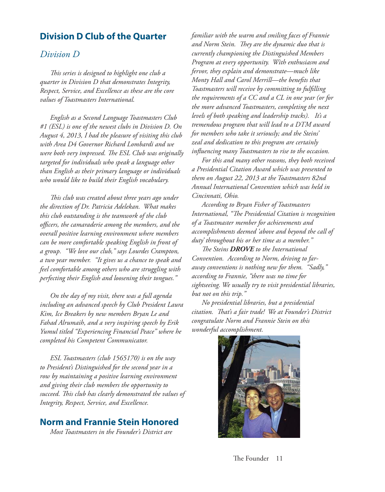#### **Division D Club of the Quarter**

#### *Division D*

*Th is series is designed to highlight one club a quarter in Division D that demonstrates Integrity, Respect, Service, and Excellence as these are the core values of Toastmasters International.*

*English as a Second Language Toastmasters Club #1 (ESL) is one of the newest clubs in Division D. On August 4, 2013, I had the pleasure of visiting this club with Area D4 Governor Richard Lombardi and we were both very impressed. The ESL Club was originally targeted for individuals who speak a language other than English as their primary language or individuals who would like to build their English vocabulary.* 

*Th is club was created about three years ago under the direction of Dr. Patricia Adelekan. What makes this club outstanding is the teamwork of the club offi cers, the camaraderie among the members, and the overall positive learning environment where members can be more comfortable speaking English in front of a group. "We love our club," says Lourdes Crampton, a two year member. "It gives us a chance to speak and feel comfortable among others who are struggling with perfecting their English and loosening their tongues."*

*On the day of my visit, there was a full agenda including an advanced speech by Club President Laura Kim, Ice Breakers by new members Bryan Le and Fahad Alrumaih, and a very inspiring speech by Erik Yumul titled "Experiencing Financial Peace" where he completed his Competent Communicator.*

*ESL Toastmasters (club 1565170) is on the way to President's Distinguished for the second year in a row by maintaining a positive learning environment and giving their club members the opportunity to*  succeed. This club has clearly demonstrated the values of *Integrity, Respect, Service, and Excellence.*

#### **Norm and Frannie Stein Honored**

*Most Toastmasters in the Founder's District are* 

*familiar with the warm and smiling faces of Frannie*  and Norm Stein. They are the dynamic duo that is *currently championing the Distinguished Members Program at every opportunity. With enthusiasm and fervor, they explain and demonstrate—much like Monty Hall and Carol Merrill—the benefits that Toastmasters will receive by committing to fulfi lling the requirements of a CC and a CL in one year (or for the more advanced Toastmasters, completing the next levels of both speaking and leadership tracks). It's a tremendous program that will lead to a DTM award for members who take it seriously; and the Steins' zeal and dedication to this program are certainly infl uencing many Toastmasters to rise to the occasion.*

*For this and many other reasons, they both received a Presidential Citation Award which was presented to them on August 22, 2013 at the Toastmasters 82nd Annual International Convention which was held in Cincinnati, Ohio.* 

*According to Bryan Fisher of Toastmasters International, "The Presidential Citation is recognition of a Toastmaster member for achievements and accomplishments deemed 'above and beyond the call of duty' throughout his or her time as a member."* 

*The Steins DROVE to the International Convention. According to Norm, driving to faraway conventions is nothing new for them. "Sadly," according to Frannie, "there was no time for sightseeing. We usually try to visit presidential libraries, but not on this trip."* 

*No presidential libraries, but a presidential citation. Th at's a fair trade! We at Founder's District congratulate Norm and Frannie Stein on this wonderful accomplishment.*